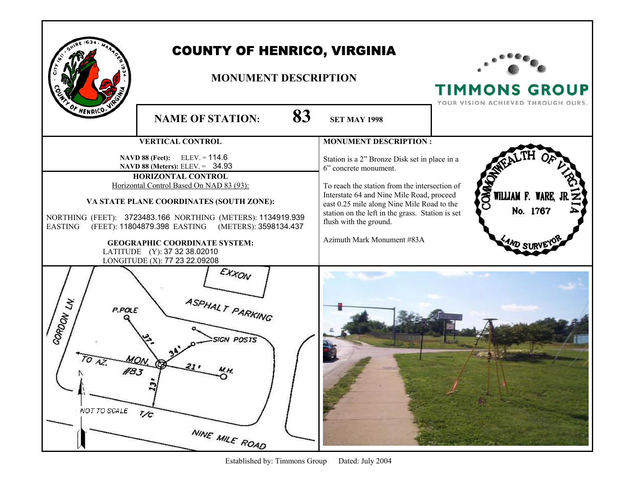|                                                                                                                                                                                                                                                                                                                                                                                                                                    | <b>COUNTY OF HENRICO, VIRGINIA</b><br><b>MONUMENT DESCRIPTION</b>      |                                                                                                                                                                                                                                                                                                                                |                                                                 | <b>TIMMONS GROUP</b><br>YOUR VISION ACHIEVED THROUGH OURS. |
|------------------------------------------------------------------------------------------------------------------------------------------------------------------------------------------------------------------------------------------------------------------------------------------------------------------------------------------------------------------------------------------------------------------------------------|------------------------------------------------------------------------|--------------------------------------------------------------------------------------------------------------------------------------------------------------------------------------------------------------------------------------------------------------------------------------------------------------------------------|-----------------------------------------------------------------|------------------------------------------------------------|
| OF HENRICO.V                                                                                                                                                                                                                                                                                                                                                                                                                       | <b>NAME OF STATION:</b>                                                | 83                                                                                                                                                                                                                                                                                                                             | <b>SET MAY 1998</b>                                             |                                                            |
|                                                                                                                                                                                                                                                                                                                                                                                                                                    | <b>VERTICAL CONTROL</b>                                                |                                                                                                                                                                                                                                                                                                                                | <b>MONUMENT DESCRIPTION:</b>                                    |                                                            |
| $ELEV = 114.6$<br>NAVD 88 (Feet):<br>NAVD 88 (Meters): ELEV. = 34.93<br>HORIZONTAL CONTROL<br>Horizontal Control Based On NAD 83 (93):<br>VA STATE PLANE COORDINATES (SOUTH ZONE):<br>NORTHING (FEET): 3723483.166 NORTHING (METERS): 1134919.939<br>(FEET): 11804879.398 EASTING (METERS): 3598134.437<br><b>EASTING</b><br><b>GEOGRAPHIC COORDINATE SYSTEM:</b><br>LATITUDE (Y): 37 32 38.02010<br>LONGITUDE (X): 77 23 22.09208 |                                                                        | Station is a 2" Bronze Disk set in place in a<br>6" concrete monument.<br>To reach the station from the intersection of<br>Interstate 64 and Nine Mile Road, proceed<br>east 0.25 mile along Nine Mile Road to the<br>station on the left in the grass. Station is set<br>flush with the ground.<br>Azimuth Mark Monument #83A | $\mathbf{S}$<br>WILLIAM F. WARE, J<br>No. 1767<br><b>AND ST</b> |                                                            |
| CORDON LIK<br>P.POLE<br>$TO$ <sub><math>AD</math></sub><br>NOT TO SCALE                                                                                                                                                                                                                                                                                                                                                            | EXXON<br>ASPHALT PARKING<br><b>SIGN POSTS</b><br>7/c<br>NINE MILE ROAD |                                                                                                                                                                                                                                                                                                                                |                                                                 |                                                            |